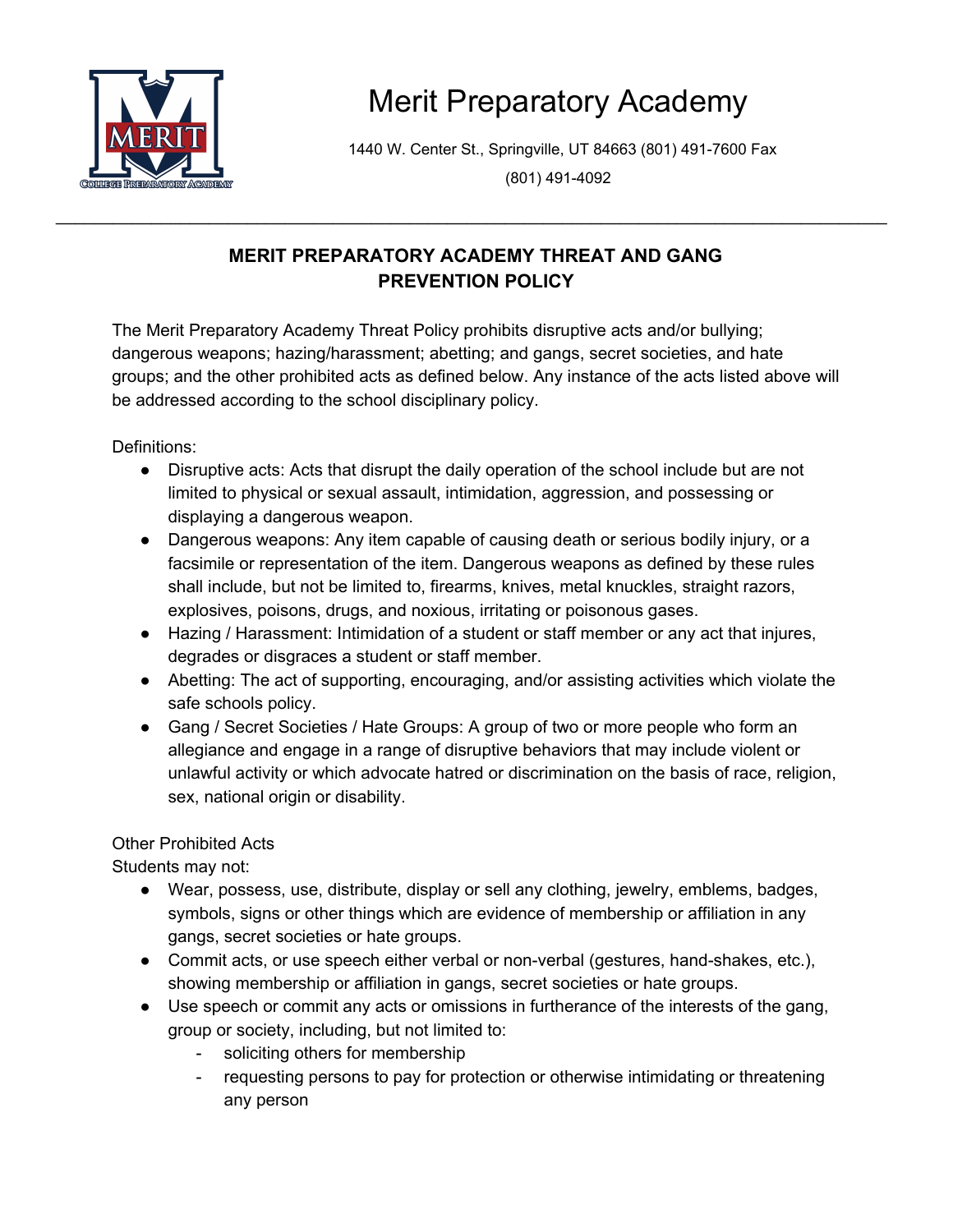

## Merit Preparatory Academy

1440 W. Center St., Springville, UT 84663 (801) 491-7600 Fax

(801) 491-4092

## **MERIT PREPARATORY ACADEMY THREAT AND GANG PREVENTION POLICY**

\_\_\_\_\_\_\_\_\_\_\_\_\_\_\_\_\_\_\_\_\_\_\_\_\_\_\_\_\_\_\_\_\_\_\_\_\_\_\_\_\_\_\_\_\_\_\_\_\_\_\_\_\_\_\_\_\_\_\_\_\_\_\_\_\_\_\_\_\_\_\_\_\_\_\_\_\_\_\_\_\_\_\_\_\_\_\_

The Merit Preparatory Academy Threat Policy prohibits disruptive acts and/or bullying; dangerous weapons; hazing/harassment; abetting; and gangs, secret societies, and hate groups; and the other prohibited acts as defined below. Any instance of the acts listed above will be addressed according to the school disciplinary policy.

Definitions:

- Disruptive acts: Acts that disrupt the daily operation of the school include but are not limited to physical or sexual assault, intimidation, aggression, and possessing or displaying a dangerous weapon.
- Dangerous weapons: Any item capable of causing death or serious bodily injury, or a facsimile or representation of the item. Dangerous weapons as defined by these rules shall include, but not be limited to, firearms, knives, metal knuckles, straight razors, explosives, poisons, drugs, and noxious, irritating or poisonous gases.
- Hazing / Harassment: Intimidation of a student or staff member or any act that injures, degrades or disgraces a student or staff member.
- Abetting: The act of supporting, encouraging, and/or assisting activities which violate the safe schools policy.
- Gang / Secret Societies / Hate Groups: A group of two or more people who form an allegiance and engage in a range of disruptive behaviors that may include violent or unlawful activity or which advocate hatred or discrimination on the basis of race, religion, sex, national origin or disability.

## Other Prohibited Acts

Students may not:

- Wear, possess, use, distribute, display or sell any clothing, jewelry, emblems, badges, symbols, signs or other things which are evidence of membership or affiliation in any gangs, secret societies or hate groups.
- Commit acts, or use speech either verbal or non-verbal (gestures, hand-shakes, etc.), showing membership or affiliation in gangs, secret societies or hate groups.
- Use speech or commit any acts or omissions in furtherance of the interests of the gang, group or society, including, but not limited to:
	- soliciting others for membership
	- requesting persons to pay for protection or otherwise intimidating or threatening any person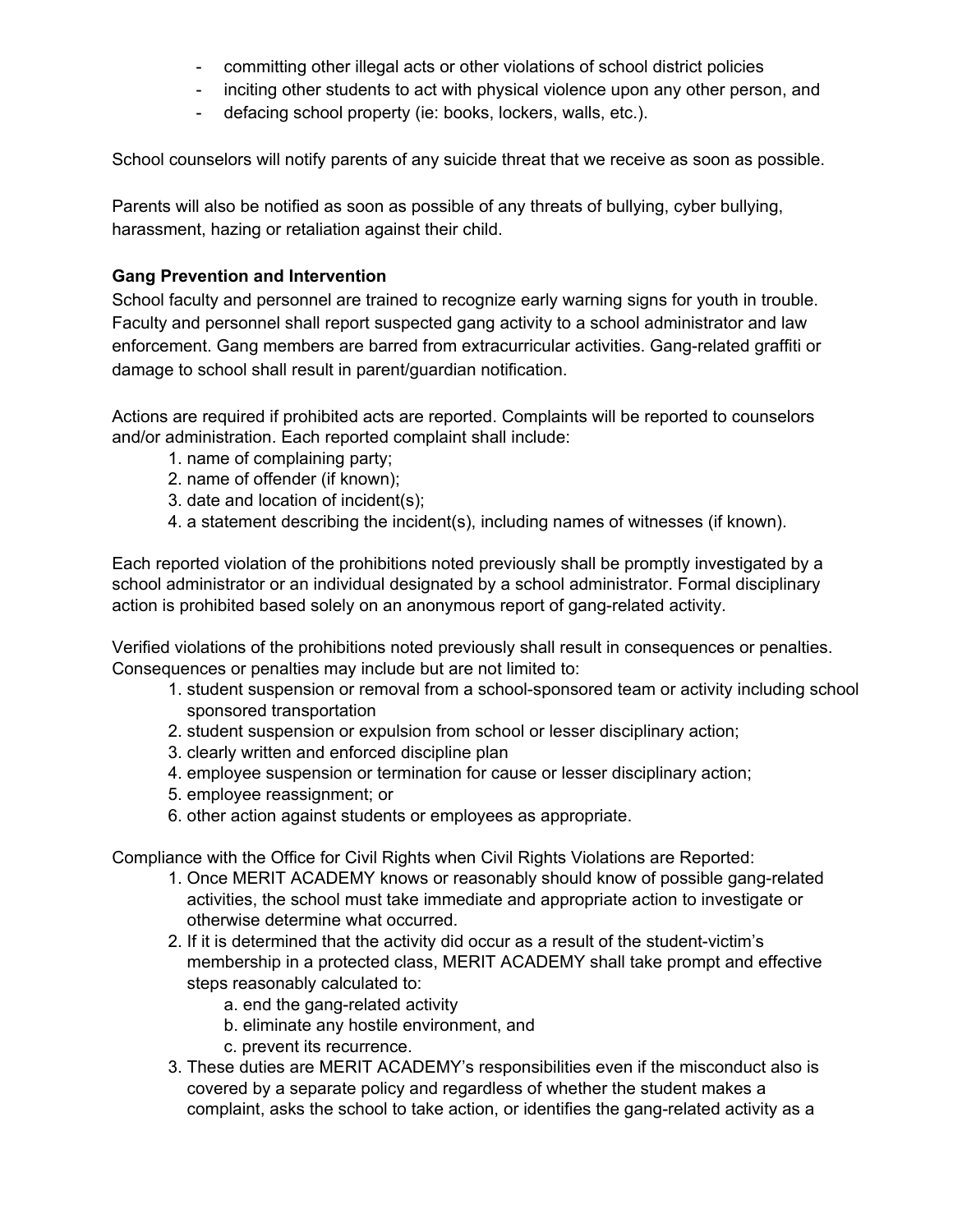- committing other illegal acts or other violations of school district policies
- inciting other students to act with physical violence upon any other person, and
- defacing school property (ie: books, lockers, walls, etc.).

School counselors will notify parents of any suicide threat that we receive as soon as possible.

Parents will also be notified as soon as possible of any threats of bullying, cyber bullying, harassment, hazing or retaliation against their child.

## **Gang Prevention and Intervention**

School faculty and personnel are trained to recognize early warning signs for youth in trouble. Faculty and personnel shall report suspected gang activity to a school administrator and law enforcement. Gang members are barred from extracurricular activities. Gang-related graffiti or damage to school shall result in parent/guardian notification.

Actions are required if prohibited acts are reported. Complaints will be reported to counselors and/or administration. Each reported complaint shall include:

- 1. name of complaining party;
- 2. name of offender (if known);
- 3. date and location of incident(s);
- 4. a statement describing the incident(s), including names of witnesses (if known).

Each reported violation of the prohibitions noted previously shall be promptly investigated by a school administrator or an individual designated by a school administrator. Formal disciplinary action is prohibited based solely on an anonymous report of gang-related activity.

Verified violations of the prohibitions noted previously shall result in consequences or penalties. Consequences or penalties may include but are not limited to:

- 1. student suspension or removal from a school-sponsored team or activity including school sponsored transportation
- 2. student suspension or expulsion from school or lesser disciplinary action;
- 3. clearly written and enforced discipline plan
- 4. employee suspension or termination for cause or lesser disciplinary action;
- 5. employee reassignment; or
- 6. other action against students or employees as appropriate.

Compliance with the Office for Civil Rights when Civil Rights Violations are Reported:

- 1. Once MERIT ACADEMY knows or reasonably should know of possible gang-related activities, the school must take immediate and appropriate action to investigate or otherwise determine what occurred.
- 2. If it is determined that the activity did occur as a result of the student-victim's membership in a protected class, MERIT ACADEMY shall take prompt and effective steps reasonably calculated to:
	- a. end the gang-related activity
	- b. eliminate any hostile environment, and
	- c. prevent its recurrence.
- 3. These duties are MERIT ACADEMY's responsibilities even if the misconduct also is covered by a separate policy and regardless of whether the student makes a complaint, asks the school to take action, or identifies the gang-related activity as a